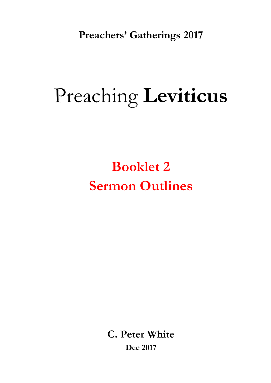**Preachers' Gatherings 2017** 

# Preaching **Leviticus**

**Booklet 2 Sermon Outlines**

> **C. Peter White Dec 2017**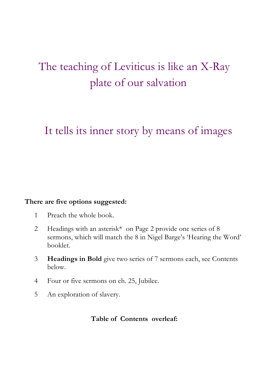# The teaching of Leviticus is like an X-Ray plate of our salvation

## It tells its inner story by means of images

#### **There are five options suggested:**

- 1 Preach the whole book.
- 2 Headings with an asterisk\* on Page 2 provide one series of 8 sermons, which will match the 8 in Nigel Barge's 'Hearing the Word' booklet.
- 3 **Headings in Bold** give two series of 7 sermons each, see Contents below.
- 4 Four or five sermons on ch. 25, Jubilee.
- 5 An exploration of slavery.

#### **Table of Contents overleaf:**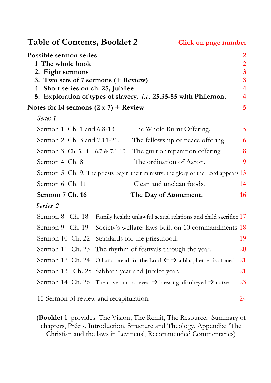Table of Contents, Booklet 2 Click on page number **Possible sermon series 2 1 The whole book 2 2. Eight sermons 3 3. Two sets of 7 sermons (+ Review) 3 4. Short series on ch. 25, Jubilee 4 5. Exploration of types of slavery***, i.e.* **25.35-55 with Philemon. 4** Notes for 14 sermons  $(2 \times 7)$  + Review 5 *Series 1*  Sermon 1 Ch. 1 and 6.8-13 The Whole Burnt Offering. 5 Sermon 2 Ch. 3 and 7.11-21. The fellowship or peace offering. 6 Sermon 3 Ch.  $5.14 - 6.7 \& 7.1 - 10$  The guilt or reparation offering  $\qquad \qquad 8$ Sermon 4 Ch. 8 The ordination of Aaron. 9 Sermon 5 Ch. 9. The priests begin their ministry; the glory of the Lord appears 13 Sermon 6 Ch. 11 Clean and unclean foods 14 **Sermon 7 Ch. 16 The Day of Atonement. 16** *Series 2*  Sermon 8 Ch. 18 Family health: unlawful sexual relations and child sacrifice 17 Sermon 9 Ch. 19 Society's welfare: laws built on 10 commandments 18 Sermon 10 Ch. 22 Standards for the priesthood. 19 Sermon 11 Ch. 23 The rhythm of festivals through the year. 20 Sermon 12 Ch. 24 Oil and bread for the Lord  $\leftarrow \rightarrow$  a blasphemer is stoned 21 Sermon 13 Ch. 25 Sabbath year and Jubilee year. 21 Sermon 14 Ch. 26 The covenant: obeyed  $\rightarrow$  blessing, disobeyed  $\rightarrow$  curse 23 15 Sermon of review and recapitulation: 24

**(Booklet 1** provides The Vision, The Remit, The Resource, Summary of chapters, Précis, Introduction, Structure and Theology, Appendix: 'The Christian and the laws in Leviticus', Recommended Commentaries)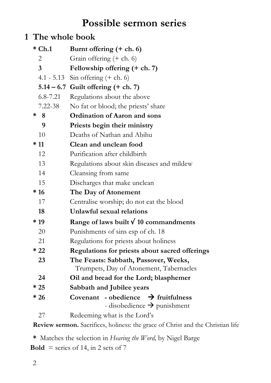## **Possible sermon series**

#### **1 The whole book**

|   | $*$ Ch.1       | Burnt offering $(+ ch. 6)$                                                                 |  |  |
|---|----------------|--------------------------------------------------------------------------------------------|--|--|
|   | 2              | Grain offering $(+ ch. 6)$                                                                 |  |  |
|   | $\overline{3}$ | Fellowship offering (+ ch. 7)                                                              |  |  |
|   |                | 4.1 - 5.13 Sin offering $(+ ch. 6)$                                                        |  |  |
|   |                | $5.14 - 6.7$ Guilt offering (+ ch. 7)                                                      |  |  |
|   | $6.8 - 7.21$   | Regulations about the above                                                                |  |  |
|   | 7.22-38        | No fat or blood; the priests' share                                                        |  |  |
| ∗ | 8              | <b>Ordination of Aaron and sons</b>                                                        |  |  |
|   | 9              | Priests begin their ministry                                                               |  |  |
|   | 10             | Deaths of Nathan and Abihu                                                                 |  |  |
|   | $*11$          | Clean and unclean food                                                                     |  |  |
|   | 12             | Purification after childbirth                                                              |  |  |
|   | 13             | Regulations about skin diseases and mildew                                                 |  |  |
|   | 14             | Cleansing from same                                                                        |  |  |
|   | 15             | Discharges that make unclean                                                               |  |  |
|   | $*16$          | The Day of Atonement                                                                       |  |  |
|   | 17             | Centralise worship; do not eat the blood                                                   |  |  |
|   | 18             | Unlawful sexual relations                                                                  |  |  |
|   | $*19$          | Range of laws built $\sqrt{10}$ commandments                                               |  |  |
|   | 20             | Punishments of sins esp of ch. 18                                                          |  |  |
|   | 21             | Regulations for priests about holiness                                                     |  |  |
|   | $*22$          | <b>Regulations for priests about sacred offerings</b>                                      |  |  |
|   | 23             | The Feasts: Sabbath, Passover, Weeks,<br>Trumpets, Day of Atonement, Tabernacles           |  |  |
|   | 24             | Oil and bread for the Lord; blasphemer                                                     |  |  |
|   | $*25$          | Sabbath and Jubilee years                                                                  |  |  |
|   | $*26$          | Covenant - obedience $\rightarrow$ fruitfulness<br>- disobedience $\rightarrow$ punishment |  |  |
|   | 27             | Redeeming what is the Lord's                                                               |  |  |
|   |                |                                                                                            |  |  |

**Review sermon.** Sacrifices, holiness: the grace of Christ and the Christian life

**\*** Matches the selection in *Hearing the Word,* by Nigel Barge **Bold** = series of 14, in 2 sets of 7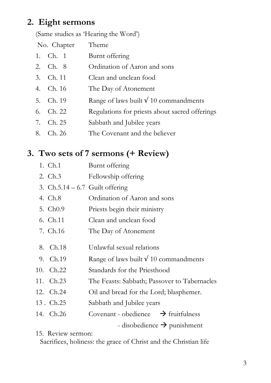## **2. Eight sermons**

(Same studies as 'Hearing the Word')

| No. Chapter | Theme                                          |
|-------------|------------------------------------------------|
| 1. Ch. 1    | Burnt offering                                 |
| 2. Ch. 8    | Ordination of Aaron and sons                   |
| 3. Ch. 11   | Clean and unclean food                         |
| 4. Ch. 16   | The Day of Atonement                           |
| 5. Ch. 19   | Range of laws built $\sqrt{10}$ commandments   |
| 6. Ch. 22   | Regulations for priests about sacred offerings |
| 7. Ch. 25   | Sabbath and Jubilee years                      |
| 8. Ch. 26   | The Covenant and the believer                  |

### **3. Two sets of 7 sermons (+ Review)**

- 1. Ch.1 Burnt offering
- 2. Ch.3 Fellowship offering
- 3. Ch.5.14 6.7 Guilt offering
- 4. Ch.8 Ordination of Aaron and sons
- 5. Ch0.9 Priests begin their ministry
- 6. Ch.11 Clean and unclean food
- 7. Ch.16 The Day of Atonement
- 8. Ch.18 Unlawful sexual relations
- 9. Ch.19 Range of laws built  $\sqrt{10}$  commandments
- 10. Ch.22 Standards for the Priesthood
- 11. Ch.23 The Feasts: Sabbath; Passover to Tabernacles
- 12. Ch.24 Oil and bread for the Lord; blasphemer.
- 13 . Ch.25 Sabbath and Jubilee years
- 14. Ch.26 Covenant obedience  $\rightarrow$  fruitfulness

 $\rightarrow$  disobedience  $\rightarrow$  punishment

15. Review sermon:

Sacrifices, holiness: the grace of Christ and the Christian life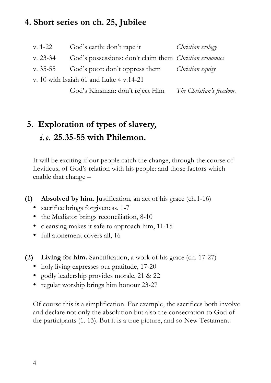#### **4. Short series on ch. 25, Jubilee**

| v. 1-22                                 | God's earth: don't rape it                                     | Christian ecology        |  |  |  |  |  |
|-----------------------------------------|----------------------------------------------------------------|--------------------------|--|--|--|--|--|
| $v. 23-34$                              | God's possessions: don't claim them <i>Christian economics</i> |                          |  |  |  |  |  |
| v. 35-55                                | God's poor: don't oppress them                                 | Christian equity         |  |  |  |  |  |
| v. 10 with Isaiah 61 and Luke 4 v.14-21 |                                                                |                          |  |  |  |  |  |
|                                         | God's Kinsman: don't reject Him                                | The Christian's freedom. |  |  |  |  |  |

## **5. Exploration of types of slavery***, i.e.* **25.35-55 with Philemon.**

It will be exciting if our people catch the change, through the course of Leviticus, of God's relation with his people: and those factors which enable that change –

**(1) Absolved by him.** Justification, an act of his grace (ch.1-16)

- sacrifice brings forgiveness, 1-7
- the Mediator brings reconciliation, 8-10
- cleansing makes it safe to approach him, 11-15
- full atonement covers all, 16
- **(2) Living for him.** Sanctification, a work of his grace (ch. 17-27)
	- holy living expresses our gratitude, 17-20
	- godly leadership provides morale, 21 & 22
	- regular worship brings him honour 23-27

Of course this is a simplification. For example, the sacrifices both involve and declare not only the absolution but also the consecration to God of the participants (1. 13). But it is a true picture, and so New Testament.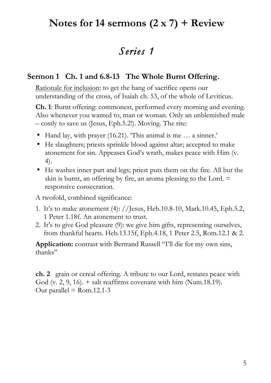## **Notes for 14 sermons (2 x 7) + Review**

## *Series 1*

#### **Sermon 1 Ch. 1 and 6.8-13 The Whole Burnt Offering.**

Rationale for inclusion: to get the hang of sacrifice opens our understanding of the cross, of Isaiah ch. 53, of the whole of Leviticus.

**Ch. 1**: Burnt offering: commonest, performed every morning and evening. Also whenever you wanted to, man or woman. Only an unblemished male – costly to save us (Jesus, Eph.5.2!). Moving. The rite:

- Hand lay, with prayer (16.21). This animal is me ... a sinner.'
- He slaughters; priests sprinkle blood against altar; accepted to make atonement for sin. Appeases God's wrath, makes peace with Him (v. 4).
- He washes inner part and legs; priest puts them on the fire. All but the skin is burnt, an offering by fire, an aroma pleasing to the Lord.  $=$ responsive consecration.

A twofold, combined significance:

- 1. It's to make atonement (4): //Jesus, Heb.10.8-10, Mark.10.45, Eph.5.2, 1 Peter 1.18f. An atonement to trust.
- 2. It's to give God pleasure (9): we give him gifts, representing ourselves, from thankful hearts. Heb.13.15f, Eph.4.18, 1 Peter 2.5, Rom.12.1 & 2.

**Application:** contrast with Bertrand Russell "I'll die for my own sins, thanks"

**ch. 2** grain or cereal offering. A tribute to our Lord, restates peace with God (v. 2, 9, 16).  $+$  salt reaffirms covenant with him (Num.18.19). Our parallel  $=$  Rom.12.1-3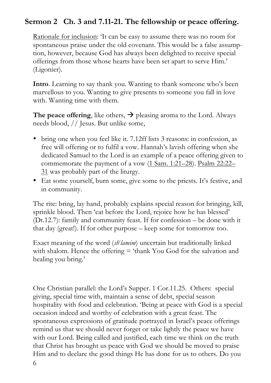#### **Sermon 2 Ch. 3 and 7.11-21. The fellowship or peace offering.**

Rationale for inclusion: 'It can be easy to assume there was no room for spontaneous praise under the old covenant. This would be a false assumption, however, because God has always been delighted to receive special offerings from those whose hearts have been set apart to serve Him.' (Ligonier).

**Intro**. Learning to say thank you. Wanting to thank someone who's been marvellous to you. Wanting to give presents to someone you fall in love with. Wanting time with them.

**The peace offering**, like others,  $\rightarrow$  pleasing aroma to the Lord. Always needs blood, // Jesus. But unlike some,

- bring one when you feel like it. 7.12ff lists 3 reasons: in confession, as free will offering or to fulfil a vow. Hannah's lavish offering when she dedicated Samuel to the Lord is an example of a peace offering given to commemorate the payment of a vow (1 Sam. 1:21–28). Psalm 22:22– 31 was probably part of the liturgy.
- Eat some yourself, burn some, give some to the priests. It's festive, and in community.

The rite: bring, lay hand, probably explains special reason for bringing, kill, sprinkle blood. Then 'eat before the Lord, rejoice how he has blessed' (Dt.12.7): family and community feast. If for confession – be done with it that day (great!). If for other purpose – keep some for tomorrow too.

Exact meaning of the word (sh<sup>e</sup>lamim) uncertain but traditionally linked with shalom. Hence the offering  $=$  'thank You God for the salvation and healing you bring.'

One Christian parallel: the Lord's Supper. 1 Cor.11.25. Others: special giving, special time with, maintain a sense of debt, special season hospitality with food and celebration. 'Being at peace with God is a special occasion indeed and worthy of celebration with a great feast. The spontaneous expressions of gratitude portrayed in Israel's peace offerings remind us that we should never forget or take lightly the peace we have with our Lord. Being called and justified, each time we think on the truth that Christ has brought us peace with God we should be moved to praise Him and to declare the good things He has done for us to others. Do you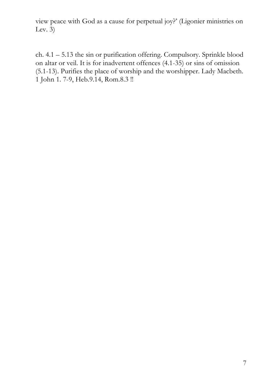view peace with God as a cause for perpetual joy?' (Ligonier ministries on Lev.  $\overline{3}$ )

ch. 4.1 – 5.13 the sin or purification offering. Compulsory. Sprinkle blood on altar or veil. It is for inadvertent offences (4.1-35) or sins of omission (5.1-13). Purifies the place of worship and the worshipper. Lady Macbeth. 1 John 1. 7-9, Heb.9.14, Rom.8.3 !!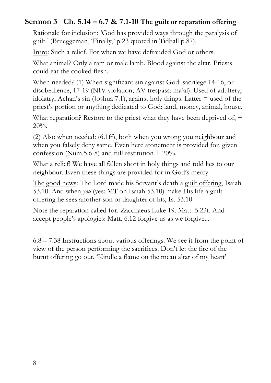#### **Sermon 3 Ch. 5.14 – 6.7 & 7.1-10 The guilt or reparation offering**

Rationale for inclusion: 'God has provided ways through the paralysis of guilt.' (Brueggeman, 'Finally,' p.23 quoted in Tidball p.87).

Intro: Such a relief. For when we have defrauded God or others.

What animal? Only a ram or male lamb. Blood against the altar. Priests could eat the cooked flesh.

When needed? (1) When significant sin against God: sacrilege 14-16, or disobedience, 17-19 (NIV violation; AV trespass: ma'al). Used of adultery, idolatry, Achan's sin (Joshua 7.1), against holy things. Latter = used of the priest's portion or anything dedicated to God: land, money, animal, house.

What reparation? Restore to the priest what they have been deprived of, + 20%.

(2) Also when needed: (6.1ff), both when you wrong you neighbour and when you falsely deny same. Even here atonement is provided for, given confession (Num.5.6-8) and full restitution  $+ 20\%$ .

What a relief! We have all fallen short in holy things and told lies to our neighbour. Even these things are provided for in God's mercy.

The good news: The Lord made his Servant's death a guilt offering, Isaiah 53.10. And when *you* (yes: MT on Isaiah 53.10) make His life a guilt offering he sees another son or daughter of his, Is. 53.10.

Note the reparation called for. Zacchaeus Luke 19. Matt. 5.23f. And accept people's apologies: Matt. 6.12 forgive us as we forgive...

6.8 – 7.38 Instructions about various offerings. We see it from the point of view of the person performing the sacrifices. Don't let the fire of the burnt offering go out. 'Kindle a flame on the mean altar of my heart'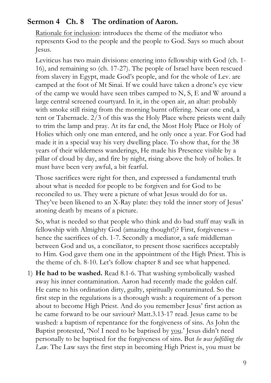#### **Sermon 4 Ch. 8 The ordination of Aaron.**

Rationale for inclusion: introduces the theme of the mediator who represents God to the people and the people to God. Says so much about Jesus.

Leviticus has two main divisions: entering into fellowship with God (ch. 1- 16), and remaining so (ch. 17-27). The people of Israel have been rescued from slavery in Egypt, made God's people, and for the whole of Lev. are camped at the foot of Mt Sinai. If we could have taken a drone's eye view of the camp we would have seen tribes camped to N, S, E and W around a large central screened courtyard. In it, in the open air, an altar: probably with smoke still rising from the morning burnt offering. Near one end, a tent or Tabernacle. 2/3 of this was the Holy Place where priests went daily to trim the lamp and pray. At its far end, the Most Holy Place or Holy of Holies which only one man entered, and he only once a year. For God had made it in a special way his very dwelling place. To show that, for the 38 years of their wilderness wanderings, He made his Presence visible by a pillar of cloud by day, and fire by night, rising above the holy of holies. It must have been very awful, a bit fearful.

Those sacrifices were right for then, and expressed a fundamental truth about what is needed for people to be forgiven and for God to be reconciled to us. They were a picture of what Jesus would do for us. They've been likened to an X-Ray plate: they told the inner story of Jesus' atoning death by means of a picture.

So, what is needed so that people who think and do bad stuff may walk in fellowship with Almighty God (amazing thought!)? First, forgiveness – hence the sacrifices of ch. 1-7. Secondly a mediator, a safe middleman between God and us, a conciliator, to present those sacrifices acceptably to Him. God gave them one in the appointment of the High Priest. This is the theme of ch. 8-10. Let's follow chapter 8 and see what happened.

1) **He had to be washed.** Read 8.1-6. That washing symbolically washed away his inner contamination. Aaron had recently made the golden calf. He came to his ordination dirty, guilty, spiritually contaminated. So the first step in the regulations is a thorough wash: a requirement of a person about to become High Priest. And do you remember Jesus' first action as he came forward to be our saviour? Matt.3.13-17 read. Jesus came to be washed: a baptism of repentance for the forgiveness of sins. As John the Baptist protested, 'No! I need to be baptised by you.' Jesus didn't need personally to be baptised for the forgiveness of sins. But *he was fulfilling the Law*. The Law says the first step in becoming High Priest is, you must be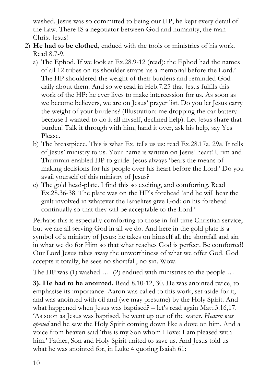washed. Jesus was so committed to being our HP, he kept every detail of the Law. There IS a negotiator between God and humanity, the man Christ Jesus!

- 2) **He had to be clothed**, endued with the tools or ministries of his work. Read 8.7-9.
	- a) The Ephod. If we look at Ex.28.9-12 (read): the Ephod had the names of all 12 tribes on its shoulder straps 'as a memorial before the Lord.' The HP shouldered the weight of their burdens and reminded God daily about them. And so we read in Heb.7.25 that Jesus fulfils this work of the HP: he ever lives to make intercession for us. As soon as we become believers, we are on Jesus' prayer list. Do you let Jesus carry the weight of your burdens? (Illustration: me dropping the car battery because I wanted to do it all myself, declined help). Let Jesus share that burden! Talk it through with him, hand it over, ask his help, say Yes Please.
	- b) The breastpiece. This is what Ex. tells us us: read Ex.28.17a, 29a. It tells of Jesus' ministry to us. Your name is written on Jesus' heart! Urim and Thummin enabled HP to guide. Jesus always 'bears the means of making decisions for his people over his heart before the Lord.' Do you avail yourself of this ministry of Jesus?
	- c) The gold head-plate. I find this so exciting, and comforting. Read Ex.28.36-38. The plate was on the HP's forehead 'and he will bear the guilt involved in whatever the Israelites give God: on his forehead continually so that they will be acceptable to the Lord.'

Perhaps this is especially comforting to those in full time Christian service, but we are all serving God in all we do. And here in the gold plate is a symbol of a ministry of Jesus: he takes on himself all the shortfall and sin in what we do for Him so that what reaches God is perfect. Be comforted! Our Lord Jesus takes away the unworthiness of what we offer God. God accepts it totally, he sees no shortfall, no sin. Wow.

The HP was (1) washed ... (2) endued with ministries to the people ...

**3). He had to be anointed.** Read 8.10-12, 30. He was anointed twice, to emphasise its importance. Aaron was called to this work, set aside for it, and was anointed with oil and (we may presume) by the Holy Spirit. And what happened when Jesus was baptised? – let's read again Matt.3.16,17. 'As soon as Jesus was baptised, he went up out of the water. *Heaven was opened* and he saw the Holy Spirit coming down like a dove on him. And a voice from heaven said 'this is my Son whom I love; I am pleased with him.' Father, Son and Holy Spirit united to save us. And Jesus told us what he was anointed for, in Luke 4 quoting Isaiah 61: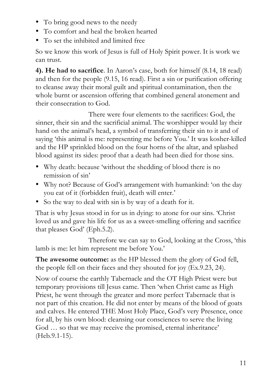- To bring good news to the needy
- To comfort and heal the broken hearted
- To set the inhibited and limited free

So we know this work of Jesus is full of Holy Spirit power. It is work we can trust.

**4). He had to sacrifice**. In Aaron's case, both for himself (8.14, 18 read) and then for the people (9.15, 16 read). First a sin or purification offering to cleanse away their moral guilt and spiritual contamination, then the whole burnt or ascension offering that combined general atonement and their consecration to God.

There were four elements to the sacrifices: God, the sinner, their sin and the sacrificial animal. The worshipper would lay their hand on the animal's head, a symbol of transferring their sin to it and of saying 'this animal is me: representing me before You.' It was kosher-killed and the HP sprinkled blood on the four horns of the altar, and splashed blood against its sides: proof that a death had been died for those sins.

- Why death: because 'without the shedding of blood there is no remission of sin'
- Why not? Because of God's arrangement with humankind: 'on the day you eat of it (forbidden fruit), death will enter.'
- So the way to deal with sin is by way of a death for it.

That is why Jesus stood in for us in dying: to atone for our sins. 'Christ loved us and gave his life for us as a sweet-smelling offering and sacrifice that pleases God' (Eph.5.2).

Therefore we can say to God, looking at the Cross, 'this lamb is me: let him represent me before You.'

**The awesome outcome:** as the HP blessed them the glory of God fell, the people fell on their faces and they shouted for joy (Ex.9.23, 24).

Now of course the earthly Tabernacle and the OT High Priest were but temporary provisions till Jesus came. Then 'when Christ came as High Priest, he went through the greater and more perfect Tabernacle that is not part of this creation. He did not enter by means of the blood of goats and calves. He entered THE Most Holy Place, God's very Presence, once for all, by his own blood: cleansing our consciences to serve the living God ... so that we may receive the promised, eternal inheritance' (Heb.9.1-15).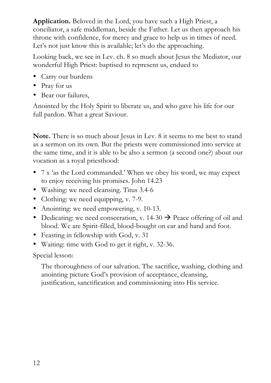**Application.** Beloved in the Lord, you have such a High Priest, a conciliator, a safe middleman, beside the Father. Let us then approach his throne with confidence, for mercy and grace to help us in times of need. Let's not just know this is available; let's do the approaching.

Looking back, we see in Lev. ch. 8 so much about Jesus the Mediator, our wonderful High Priest: baptised to represent us, endued to

- Carry our burdens
- Pray for us
- Bear our failures,

Anointed by the Holy Spirit to liberate us, and who gave his life for our full pardon. What a great Saviour.

**Note.** There is so much about Jesus in Lev. 8 it seems to me best to stand as a sermon on its own. But the priests were commissioned into service at the same time, and it is able to be also a sermon (a second one?) about our vocation as a royal priesthood:

- 7 x 'as the Lord commanded.' When we obey his word, we may expect to enjoy receiving his promises. John 14.23
- Washing: we need cleansing. Titus 3.4-6
- Clothing: we need equipping, v. 7-9.
- Anointing: we need empowering, v. 10-13.
- Dedicating: we need consecration, v. 14-30  $\rightarrow$  Peace offering of oil and blood. We are Spirit-filled, blood-bought on ear and hand and foot.
- Feasting in fellowship with God, v. 31
- Waiting: time with God to get it right, v. 32-36.

Special lesson:

The thoroughness of our salvation. The sacrifice, washing, clothing and anointing picture God's provision of acceptance, cleansing, justification, sanctification and commissioning into His service.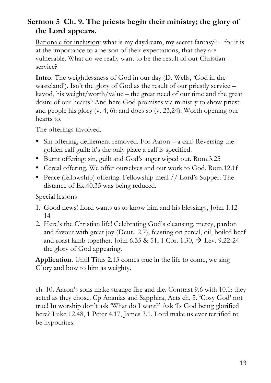#### **Sermon 5 Ch. 9. The priests begin their ministry; the glory of the Lord appears.**

Rationale for inclusion: what is my daydream, my secret fantasy? – for it is at the importance to a person of their expectations, that they are vulnerable. What do we really want to be the result of our Christian service?

**Intro.** The weightlessness of God in our day (D. Wells, 'God in the wasteland'). Isn't the glory of God as the result of our priestly service – kavod, his weight/worth/value – the great need of our time and the great desire of our hearts? And here God promises via ministry to show priest and people his glory (v. 4, 6): and does so (v. 23,24). Worth opening our hearts to.

The offerings involved.

- Sin offering, defilement removed. For Aaron a calf! Reversing the golden calf guilt: it's the only place a calf is specified.
- Burnt offering: sin, guilt and God's anger wiped out. Rom.3.25
- Cereal offering. We offer ourselves and our work to God. Rom.12.1f
- Peace (fellowship) offering. Fellowship meal // Lord's Supper. The distance of Ex.40.35 was being reduced.

Special lessons

- 1. Good news! Lord wants us to know him and his blessings, John 1.12- 14
- 2. Here's the Christian life! Celebrating God's cleansing, mercy, pardon and favour with great joy (Deut.12.7), feasting on cereal, oil, boiled beef and roast lamb together. John 6.35 & 51, 1 Cor. 1.30,  $\rightarrow$  Lev. 9.22-24 the glory of God appearing.

**Application.** Until Titus 2.13 comes true in the life to come, we sing Glory and bow to him as weighty.

ch. 10. Aaron's sons make strange fire and die. Contrast 9.6 with 10.1: they acted as they chose. Cp Ananias and Sapphira, Acts ch. 5. 'Cosy God' not true! In worship don't ask 'What do I want?' Ask 'Is God being glorified here? Luke 12.48, 1 Peter 4.17, James 3.1. Lord make us ever terrified to be hypocrites.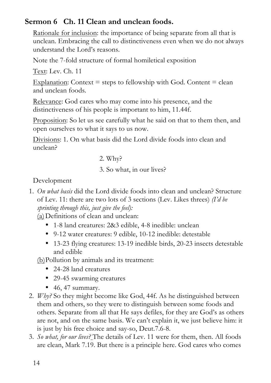#### **Sermon 6 Ch. 11 Clean and unclean foods.**

Rationale for inclusion: the importance of being separate from all that is unclean. Embracing the call to distinctiveness even when we do not always understand the Lord's reasons.

Note the 7-fold structure of formal homiletical exposition

Text: Lev. Ch. 11

Explanation: Context  $=$  steps to fellowship with God. Content  $=$  clean and unclean foods.

Relevance: God cares who may come into his presence, and the distinctiveness of his people is important to him, 11.44f.

Proposition: So let us see carefully what he said on that to them then, and open ourselves to what it says to us now.

Divisions: 1. On what basis did the Lord divide foods into clean and unclean?

2. Why?

3. So what, in our lives?

Development

1. *On what basis* did the Lord divide foods into clean and unclean? Structure of Lev. 11: there are two lots of 3 sections (Lev. Likes threes) *(I'd be sprinting through this, just give the feel):*

(a)Definitions of clean and unclean:

- 1-8 land creatures: 2&3 edible, 4-8 inedible: unclean
- 9-12 water creatures: 9 edible, 10-12 inedible: detestable
- 13-23 flying creatures: 13-19 inedible birds, 20-23 insects detestable and edible

(b)Pollution by animals and its treatment:

- 24-28 land creatures
- 29-45 swarming creatures
- $\bullet$  46, 47 summary.
- 2. *Why?* So they might become like God, 44f. As he distinguished between them and others, so they were to distinguish between some foods and others. Separate from all that He says defiles, for they are God's as others are not, and on the same basis. We can't explain it, we just believe him: it is just by his free choice and say-so, Deut.7.6-8.
- 3. *So what, for our lives?* The details of Lev. 11 were for them, then. All foods are clean, Mark 7.19. But there is a principle here. God cares who comes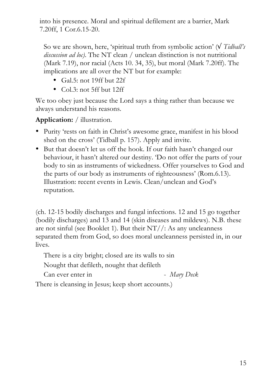into his presence. Moral and spiritual defilement are a barrier, Mark 7.20ff, 1 Cor.6.15-20.

So we are shown, here, 'spiritual truth from symbolic action' (√ *Tidball's discussion ad loc)*. The NT clean / unclean distinction is not nutritional (Mark 7.19), nor racial (Acts 10. 34, 35), but moral (Mark 7.20ff). The implications are all over the NT but for example:

- Gal.5: not 19ff but 22f
- Col.3: not 5ff but 12ff

We too obey just because the Lord says a thing rather than because we always understand his reasons.

**Application:** / illustration.

- Purity 'rests on faith in Christ's awesome grace, manifest in his blood shed on the cross' (Tidball p. 157). Apply and invite.
- But that doesn't let us off the hook. If our faith hasn't changed our behaviour, it hasn't altered our destiny. 'Do not offer the parts of your body to sin as instruments of wickedness. Offer yourselves to God and the parts of our body as instruments of righteousness' (Rom.6.13). Illustration: recent events in Lewis. Clean/unclean and God's reputation.

(ch. 12-15 bodily discharges and fungal infections. 12 and 15 go together (bodily discharges) and 13 and 14 (skin diseases and mildews). N.B. these are not sinful (see Booklet 1). But their  $NT/$ : As any uncleanness separated them from God, so does moral uncleanness persisted in, in our lives.

There is a city bright; closed are its walls to sin

Nought that defileth, nought that defileth

Can ever enter in - *Mary Deck* 

There is cleansing in Jesus; keep short accounts.)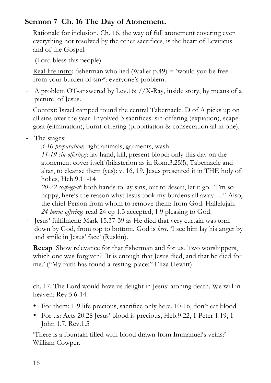#### **Sermon 7 Ch. 16 The Day of Atonement.**

Rationale for inclusion. Ch. 16, the way of full atonement covering even everything not resolved by the other sacrifices, is the heart of Leviticus and of the Gospel.

(Lord bless this people)

Real-life intro: fisherman who lied (Waller  $p.49$ ) = 'would you be free from your burden of sin?': everyone's problem.

- A problem OT-answered by Lev.16: //X-Ray, inside story, by means of a picture, of Jesus.

Context: Israel camped round the central Tabernacle. D of A picks up on all sins over the year. Involved 3 sacrifices: sin-offering (expiation), scapegoat (elimination), burnt-offering (propitiation & consecration all in one).

- The stages:
	- *3-10 preparation*: right animals, garments, wash.

*11-19 sin-offerings*: lay hand, kill, present blood: only this day on the atonement cover itself (hilasterion as in Rom.3.25!!), Tabernacle and altar, to cleanse them (yes): v. 16, 19. Jesus presented it in THE holy of holies, Heb.9.11-14

*20-22 scapegoat*: both hands to lay sins, out to desert, let it go. "I'm so happy, here's the reason why: Jesus took my burdens all away …" Also, the chief Person from whom to remove them: from God. Hallelujah. *24 burnt offering*: read 24 cp 1.3 accepted, 1.9 pleasing to God.

- Jesus' fulfilment: Mark 15.37-39 as He died that very curtain was torn down by God, from top to bottom. God is *here.* 'I see him lay his anger by and smile in Jesus' face' (Ruskin).

**Recap** Show relevance for that fisherman and for us. Two worshippers, which one was forgiven? It is enough that Jesus died, and that he died for me.' ("My faith has found a resting-place:" Eliza Hewitt)

ch. 17. The Lord would have us delight in Jesus' atoning death. We will in heaven: Rev.5.6-14.

- For them: 1-9 life precious, sacrifice only here. 10-16, don't eat blood
- For us: Acts 20.28 Jesus' blood is precious, Heb.9.22, 1 Peter 1.19, 1 John 1.7, Rev.1.5

'There is a fountain filled with blood drawn from Immanuel's veins:' William Cowper.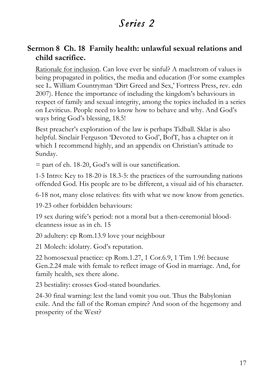## *Series 2*

#### **Sermon 8 Ch. 18 Family health: unlawful sexual relations and child sacrifice.**

Rationale for inclusion. Can love ever be sinful? A maelstrom of values is being propagated in politics, the media and education (For some examples see L. William Countryman 'Dirt Greed and Sex,' Fortress Press, rev. edn 2007). Hence the importance of including the kingdom's behaviours in respect of family and sexual integrity, among the topics included in a series on Leviticus. People need to know how to behave and why. And God's ways bring God's blessing, 18.5!

Best preacher's exploration of the law is perhaps Tidball. Sklar is also helpful. Sinclair Ferguson 'Devoted to God', BofT, has a chapter on it which I recommend highly, and an appendix on Christian's attitude to Sunday.

 $=$  part of ch. 18-20, God's will is our sanctification.

1-5 Intro: Key to 18-20 is 18.3-5: the practices of the surrounding nations offended God. His people are to be different, a visual aid of his character.

6-18 not, many close relatives: fits with what we now know from genetics.

19-23 other forbidden behaviours:

19 sex during wife's period: not a moral but a then-ceremonial bloodcleanness issue as in ch. 15

20 adultery: cp Rom.13.9 love your neighbour

21 Molech: idolatry. God's reputation.

22 homosexual practice: cp Rom.1.27, 1 Cor.6.9, 1 Tim 1.9f: because Gen.2.24 male with female to reflect image of God in marriage. And, for family health, sex there alone.

23 bestiality: crosses God-stated boundaries.

24-30 final warning: lest the land vomit you out. Thus the Babylonian exile. And the fall of the Roman empire? And soon of the hegemony and prosperity of the West?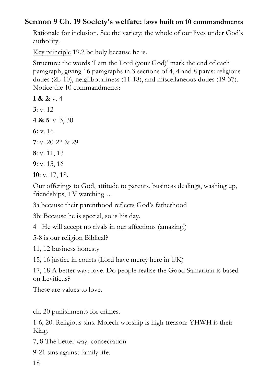#### **Sermon 9 Ch. 19 Society's welfare: laws built on 10 commandments**

Rationale for inclusion. See the variety: the whole of our lives under God's authority.

Key principle 19.2 be holy because he is.

Structure: the words 'I am the Lord (your God)' mark the end of each paragraph, giving 16 paragraphs in 3 sections of 4, 4 and 8 paras: religious duties (2b-10), neighbourliness (11-18), and miscellaneous duties (19-37). Notice the 10 commandments:

**1 & 2:**  $v \times 4$ **3**: v. 12 **4 & 5**: v. 3, 30 **6:** v. 16 **7**: v. 20-22 & 29 **8**: v. 11, 13 **9**: v. 15, 16 **10**: v. 17, 18.

Our offerings to God, attitude to parents, business dealings, washing up, friendships, TV watching …

3a because their parenthood reflects God's fatherhood

3b: Because he is special, so is his day.

4 He will accept no rivals in our affections (amazing!)

5-8 is our religion Biblical?

11, 12 business honesty

15, 16 justice in courts (Lord have mercy here in UK)

17, 18 A better way: love. Do people realise the Good Samaritan is based on Leviticus?

These are values to love.

ch. 20 punishments for crimes.

1-6, 20. Religious sins. Molech worship is high treason: YHWH is their King.

7, 8 The better way: consecration

9-21 sins against family life.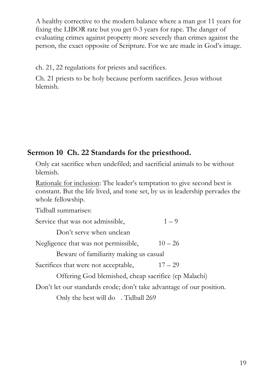A healthy corrective to the modern balance where a man got 11 years for fixing the LIBOR rate but you get 0-3 years for rape. The danger of evaluating crimes against property more severely than crimes against the person, the exact opposite of Scripture. For we are made in God's image.

ch. 21, 22 regulations for priests and sacrifices.

Ch. 21 priests to be holy because perform sacrifices. Jesus without blemish.

#### **Sermon 10 Ch. 22 Standards for the priesthood.**

Only eat sacrifice when undefiled; and sacrificial animals to be without blemish.

Rationale for inclusion: The leader's temptation to give second best is constant. But the life lived, and tone set, by us in leadership pervades the whole fellowship.

Tidball summarises:

| Service that was not admissible,                                     | $1 - 9$   |  |  |  |
|----------------------------------------------------------------------|-----------|--|--|--|
| Don't serve when unclean                                             |           |  |  |  |
| Negligence that was not permissible,                                 | $10 - 26$ |  |  |  |
| Beware of familiarity making us casual                               |           |  |  |  |
| Sacrifices that were not acceptable,                                 | $17 - 29$ |  |  |  |
| Offering God blemished, cheap sacrifice (cp Malachi)                 |           |  |  |  |
| Don't let our standards erode; don't take advantage of our position. |           |  |  |  |
| Only the best will do . Tidball 269                                  |           |  |  |  |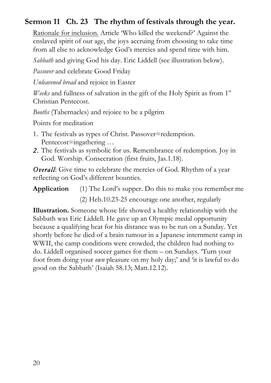#### **Sermon 11 Ch. 23 The rhythm of festivals through the year.**

Rationale for inclusion. Article 'Who killed the weekend?' Against the enslaved spirit of our age, the joys accruing from choosing to take time from all else to acknowledge God's mercies and spend time with him.

*Sabbath* and giving God his day. Eric Liddell (see illustration below).

*Passover* and celebrate Good Friday

*Unleavened bread* and rejoice in Easter

*Weeks* and fullness of salvation in the gift of the Holy Spirit as from 1<sup>st</sup> Christian Pentecost.

*Booths* (Tabernacles) and rejoice to be a pilgrim

Points for meditation

- 1. The festivals as types of Christ. Passover=redemption. Pentecost=ingathering …
- *2.* The festivals as symbolic for us. Remembrance of redemption. Joy in God. Worship. Consecration (first fruits, Jas.1.18).

*Overall:* Give time to celebrate the mercies of God. Rhythm of a year reflecting on God's different bounties.

**Application** (1) The Lord's supper. Do this to make you remember me (2) Heb.10.23-25 encourage one another, regularly

**Illustration.** Someone whose life showed a healthy relationship with the Sabbath was Eric Liddell. He gave up an Olympic medal opportunity because a qualifying heat for his distance was to be run on a Sunday. Yet shortly before he died of a brain tumour in a Japanese internment camp in WWII, the camp conditions were crowded, the children had nothing to do. Liddell organised soccer games for them – on Sundays. 'Turn your foot from doing your *own* pleasure on my holy day;' and 'it is lawful to do good on the Sabbath' (Isaiah 58.13; Matt.12.12).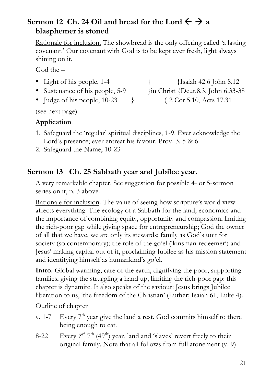#### **Sermon 12 Ch. 24 Oil and bread for the Lord**  $\leftarrow \rightarrow a$ **blasphemer is stoned**

Rationale for inclusion. The showbread is the only offering called 'a lasting covenant.' Our covenant with God is to be kept ever fresh, light always shining on it.

God the –

- 
- 
- Judge of his people, 10-23 } { 2 Cor.5.10, Acts 17.31}

• Light of his people, 1-4  $\{Isaiah 42.6 \}$  [ohn 8.12 • Sustenance of his people, 5-9 }in Christ {Deut.8.3, John 6.33-38

(see next page)

#### **Application**.

- 1. Safeguard the 'regular' spiritual disciplines, 1-9. Ever acknowledge the Lord's presence; ever entreat his favour. Prov. 3. 5 & 6.
- 2. Safeguard the Name, 10-23

#### **Sermon 13 Ch. 25 Sabbath year and Jubilee year.**

A very remarkable chapter. See suggestion for possible 4- or 5-sermon series on it, p. 3 above.

Rationale for inclusion. The value of seeing how scripture's world view affects everything. The ecology of a Sabbath for the land; economics and the importance of combining equity, opportunity and compassion, limiting the rich-poor gap while giving space for entrepreneurship; God the owner of all that we have, we are only its stewards; family as God's unit for society (so contemporary); the role of the go'el ('kinsman-redeemer') and Jesus' making capital out of it, proclaiming Jubilee as his mission statement and identifying himself as humankind's go'el.

**Intro.** Global warming, care of the earth, dignifying the poor, supporting families, giving the struggling a hand up, limiting the rich-poor gap: this chapter is dynamite. It also speaks of the saviour: Jesus brings Jubilee liberation to us, 'the freedom of the Christian' (Luther; Isaiah 61, Luke 4).

Outline of chapter

- v. 1-7 Every  $7<sup>th</sup>$  year give the land a rest. God commits himself to there being enough to eat.
- 8-22 Every  $7^{th}$   $7^{th}$  (49<sup>th</sup>) year, land and 'slaves' revert freely to their original family. Note that all follows from full atonement (v. 9)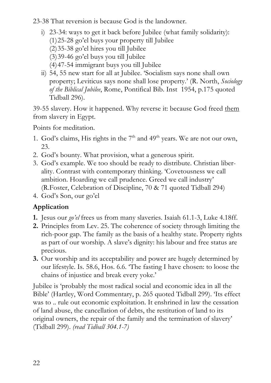23-38 That reversion is because God is the landowner.

- i) 23-34: ways to get it back before Jubilee (what family solidarity): (1)25-28 go'el buys your property till Jubilee (2)35-38 go'el hires you till Jubilee (3)39-46 go'el buys you till Jubilee (4)47-54 immigrant buys you till Jubilee
- ii) 54, 55 new start for all at Jubilee. 'Socialism says none shall own property; Leviticus says none shall lose property.' (R. North, *Sociology of the Biblical Jubilee*, Rome, Pontifical Bib. Inst 1954, p.175 quoted Tidball 296).

39-55 slavery. How it happened. Why reverse it: because God freed them from slavery in Egypt.

Points for meditation.

- 1. God's claims, His rights in the  $7<sup>th</sup>$  and  $49<sup>th</sup>$  years. We are not our own, 23.
- 2. God's bounty. What provision, what a generous spirit.
- 3. God's example. We too should be ready to distribute. Christian liberality. Contrast with contemporary thinking. 'Covetousness we call ambition. Hoarding we call prudence. Greed we call industry' (R.Foster, Celebration of Discipline, 70 & 71 quoted Tidball 294)
- 4. God's Son, our go'el

#### **Application**

- **1.** Jesus our *go'el* frees us from many slaveries. Isaiah 61.1-3, Luke 4.18ff.
- **2.** Principles from Lev. 25. The coherence of society through limiting the rich-poor gap. The family as the basis of a healthy state. Property rights as part of our worship. A slave's dignity: his labour and free status are precious.
- **3.** Our worship and its acceptability and power are hugely determined by our lifestyle. Is. 58.6, Hos. 6.6. 'The fasting I have chosen: to loose the chains of injustice and break every yoke.'

Jubilee is 'probably the most radical social and economic idea in all the Bible' (Hartley, Word Commentary, p. 265 quoted Tidball 299). 'Its effect was to .. rule out economic exploitation. It enshrined in law the cessation of land abuse, the cancellation of debts, the restitution of land to its original owners, the repair of the family and the termination of slavery' (Tidball 299). *(read Tidball 304.1-7)*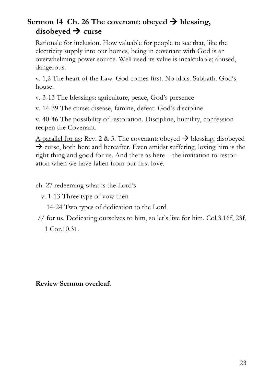#### **Sermon 14 Ch. 26 The covenant: obeyed**  $\rightarrow$  **blessing,** disobeyed  $\rightarrow$  curse

Rationale for inclusion. How valuable for people to see that, like the electricity supply into our homes, being in covenant with God is an overwhelming power source. Well used its value is incalculable; abused, dangerous.

v. 1,2 The heart of the Law: God comes first. No idols. Sabbath. God's house.

v. 3-13 The blessings: agriculture, peace, God's presence

v. 14-39 The curse: disease, famine, defeat: God's discipline

v. 40-46 The possibility of restoration. Discipline, humility, confession reopen the Covenant.

A parallel for us: Rev. 2 & 3. The covenant: obeyed  $\rightarrow$  blessing, disobeyed  $\rightarrow$  curse, both here and hereafter. Even amidst suffering, loving him is the right thing and good for us. And there as here – the invitation to restoration when we have fallen from our first love.

ch. 27 redeeming what is the Lord's

v. 1-13 Three type of vow then

14-24 Two types of dedication to the Lord

// for us. Dedicating ourselves to him, so let's live for him. Col.3.16f, 23f,

1 Cor.10.31.

**Review Sermon overleaf.**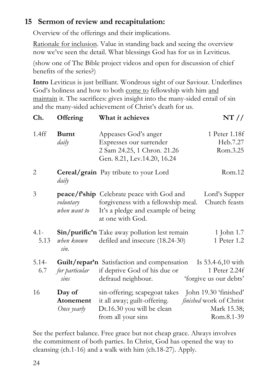#### **15 Sermon of review and recapitulation:**

Overview of the offerings and their implications.

Rationale for inclusion. Value in standing back and seeing the overview now we've seen the detail. What blessings God has for us in Leviticus.

(show one of The Bible project videos and open for discussion of chief benefits of the series?)

**Intro** Leviticus is just brilliant. Wondrous sight of our Saviour. Underlines God's holiness and how to both come to fellowship with him and maintain it. The sacrifices: gives insight into the many-sided entail of sin and the many-sided achievement of Christ's death for us.

| Ch.             | Offering                           | What it achieves                                                                                                                                  | NT / /                                                           |
|-----------------|------------------------------------|---------------------------------------------------------------------------------------------------------------------------------------------------|------------------------------------------------------------------|
| 1.4ff           | <b>Burnt</b><br>daily              | Appeases God's anger<br>Expresses our surrender<br>2 Sam 24.25, 1 Chron. 21.26<br>Gen. 8.21, Lev.14.20, 16.24                                     | 1 Peter 1.18f<br>Heb.7.27<br>Rom.3.25                            |
| $\overline{2}$  | daily                              | <b>Cereal/grain</b> Pay tribute to your Lord                                                                                                      | Rom.12                                                           |
| 3               | voluntary<br>when want to          | <b>peace/f'ship</b> Celebrate peace with God and<br>forgiveness with a fellowship meal.<br>It's a pledge and example of being<br>at one with God. | Lord's Supper<br>Church feasts                                   |
| $4.1 -$<br>5.13 | when known<br>sin.                 | Sin/purific'n Take away pollution lest remain<br>defiled and insecure (18.24-30)                                                                  | 1 John 1.7<br>1 Peter 1.2                                        |
| $5.14-$<br>6.7  | for particular<br>sins             | <b>Guilt/repar'n</b> Satisfaction and compensation<br>if deprive God of his due or<br>defraud neighbour.                                          | Is $53.4 - 6,10$ with<br>1 Peter 2.24f<br>'forgive us our debts' |
| 16              | Day of<br>Atonement<br>Once yearly | sin-offering; scapegoat takes John 19.30 'finished'<br>it all away; guilt-offering.<br>Dt.16.30 you will be clean<br>from all your sins           | finished work of Christ<br>Mark 15.38;<br>Rom.8.1-39             |

See the perfect balance. Free grace but not cheap grace. Always involves the commitment of both parties. In Christ, God has opened the way to cleansing (ch.1-16) and a walk with him (ch.18-27). Apply.